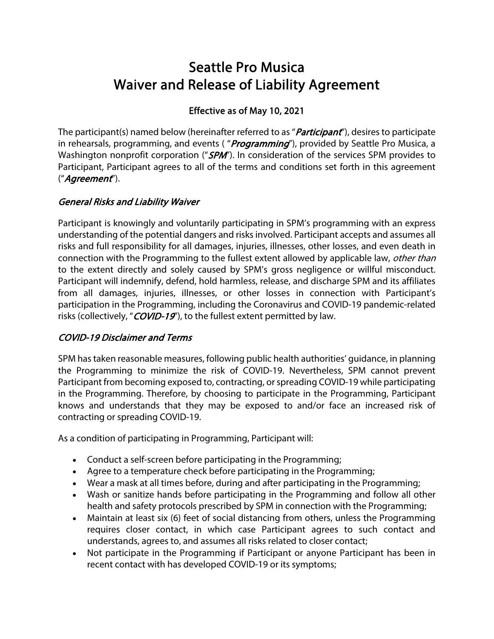# Seattle Pro Musica Waiver and Release of Liability Agreement

## Effective as of May 10, 2021

The participant(s) named below (hereinafter referred to as "*Participant*"), desires to participate in rehearsals, programming, and events ("*Programming*"), provided by Seattle Pro Musica, a Washington nonprofit corporation ("SPM"). In consideration of the services SPM provides to Participant, Participant agrees to all of the terms and conditions set forth in this agreement ("Agreement").

## General Risks and Liability Waiver

Participant is knowingly and voluntarily participating in SPM's programming with an express understanding of the potential dangers and risks involved. Participant accepts and assumes all risks and full responsibility for all damages, injuries, illnesses, other losses, and even death in connection with the Programming to the fullest extent allowed by applicable law, *other than* to the extent directly and solely caused by SPM's gross negligence or willful misconduct. Participant will indemnify, defend, hold harmless, release, and discharge SPM and its affiliates from all damages, injuries, illnesses, or other losses in connection with Participant's participation in the Programming, including the Coronavirus and COVID-19 pandemic-related risks (collectively, "COVID-19"), to the fullest extent permitted by law.

#### COVID-19 Disclaimer and Terms

SPM has taken reasonable measures, following public health authorities' guidance, in planning the Programming to minimize the risk of COVID-19. Nevertheless, SPM cannot prevent Participant from becoming exposed to, contracting, or spreading COVID-19 while participating in the Programming. Therefore, by choosing to participate in the Programming, Participant knows and understands that they may be exposed to and/or face an increased risk of contracting or spreading COVID-19.

As a condition of participating in Programming, Participant will:

- Conduct a self-screen before participating in the Programming;
- Agree to a temperature check before participating in the Programming;
- Wear a mask at all times before, during and after participating in the Programming;
- Wash or sanitize hands before participating in the Programming and follow all other health and safety protocols prescribed by SPM in connection with the Programming;
- Maintain at least six (6) feet of social distancing from others, unless the Programming requires closer contact, in which case Participant agrees to such contact and understands, agrees to, and assumes all risks related to closer contact;
- Not participate in the Programming if Participant or anyone Participant has been in recent contact with has developed COVID-19 or its symptoms;